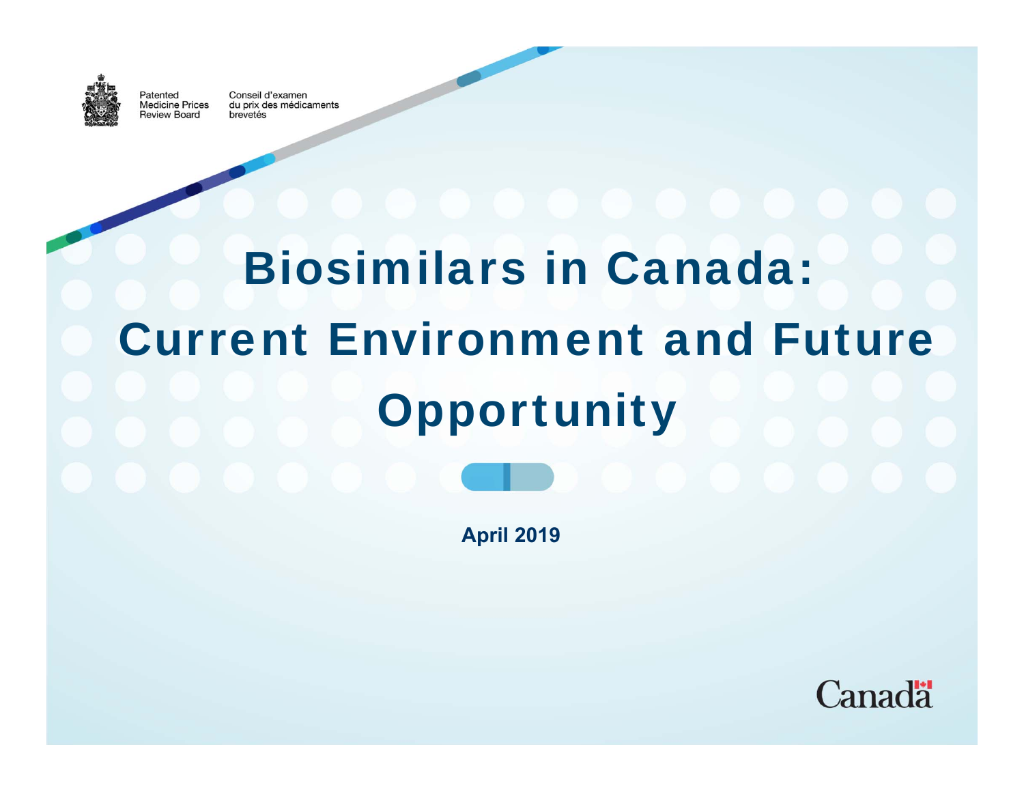

Patented

Conseil d'examen **Medicine Prices** du prix des médicaments Review Board brevetés

# Biosimilars in Canada: Current Environment and Future **Opportunity**

**April 2019**

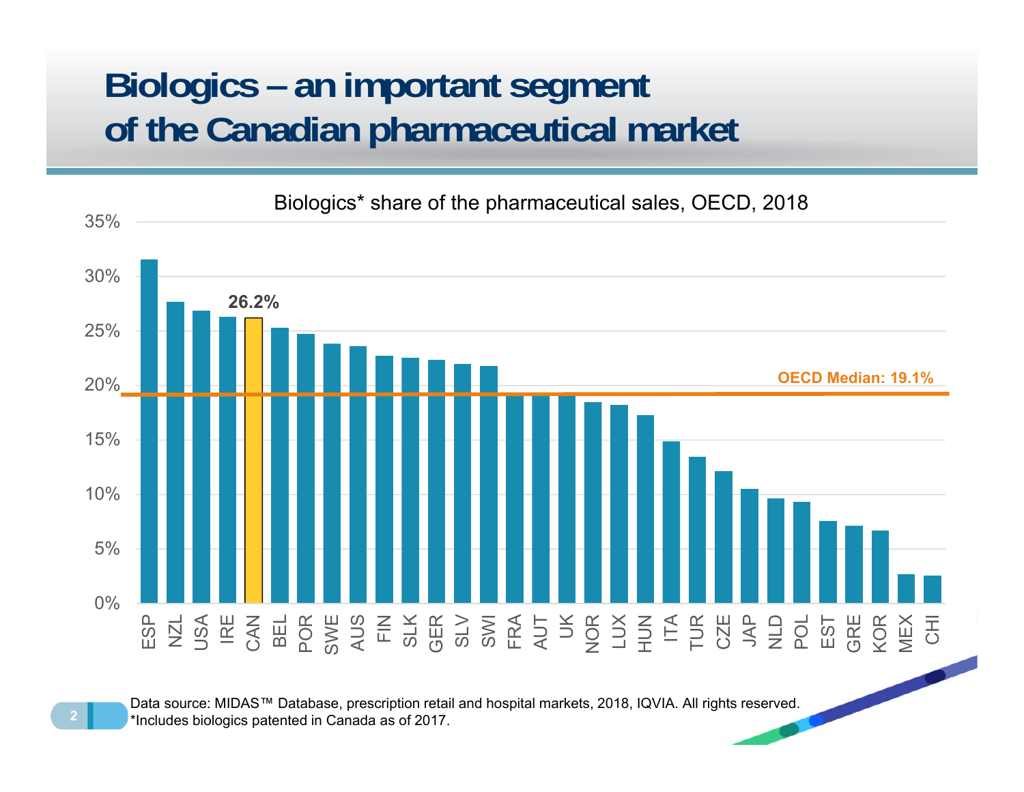## **Biologics – an important segment of the Canadian pharmaceutical market**



Data source: MIDAS™ Database, prescription retail and hospital markets, 2018, IQVIA. All rights reserved. \*Includes biologics patented in Canada as of 2017.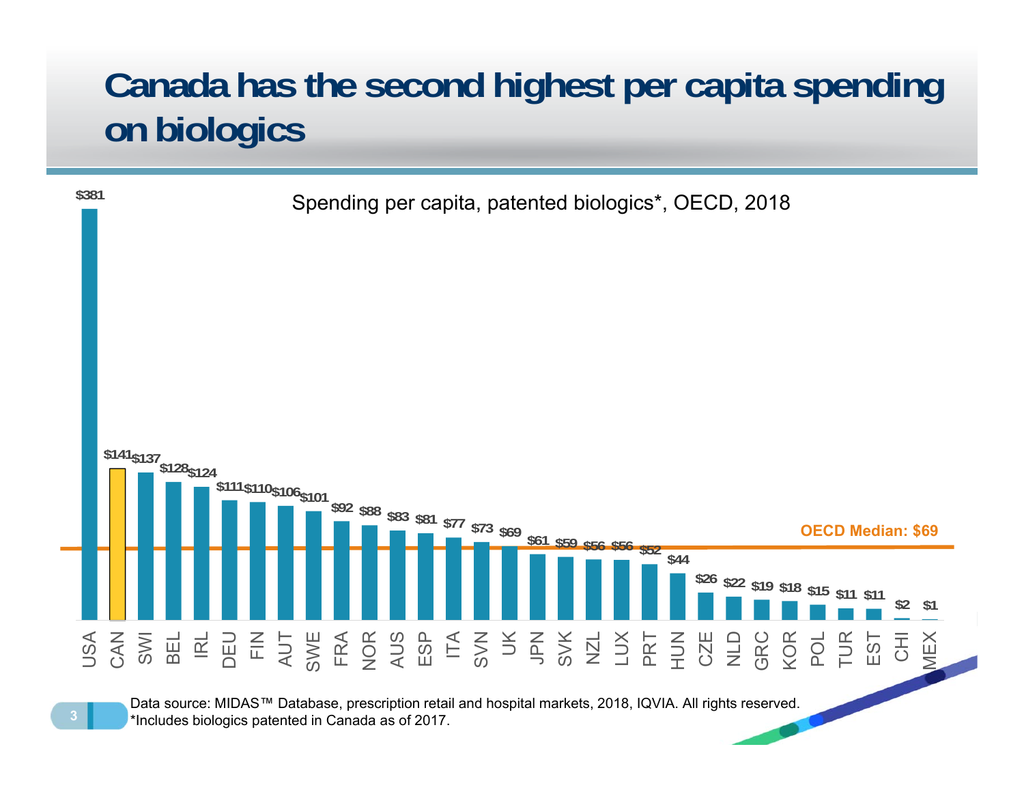## **Canada has the second highest per capita spending on biologics**

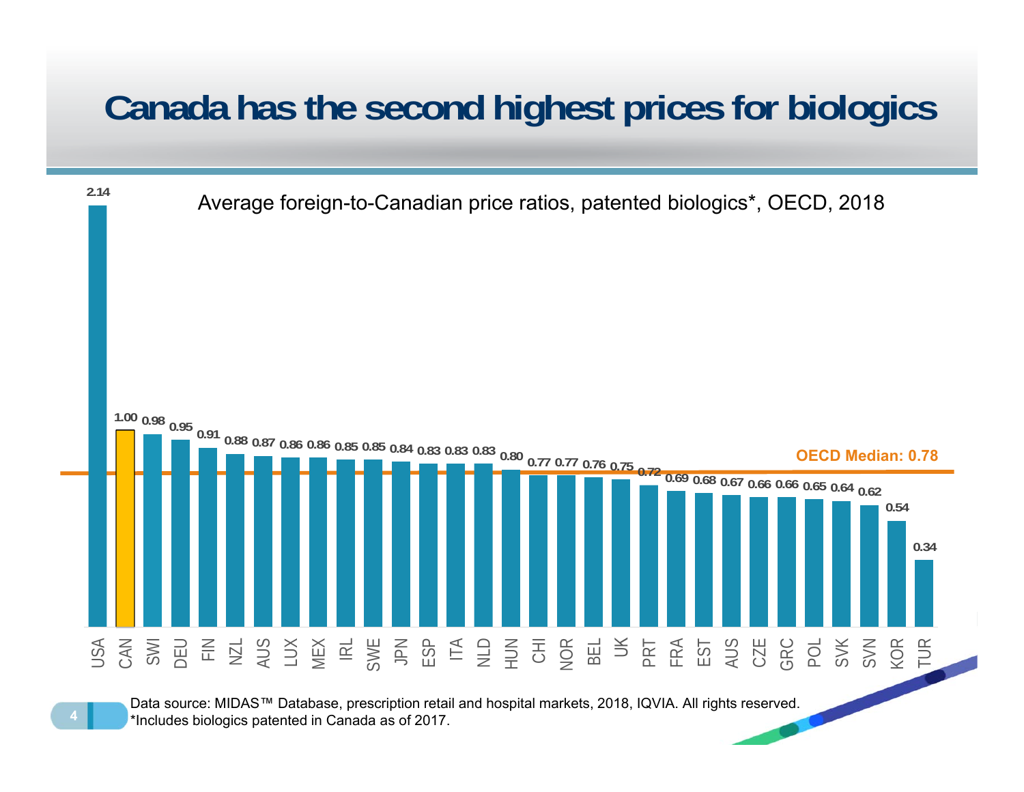#### **Canada has the second highest prices for biologics**

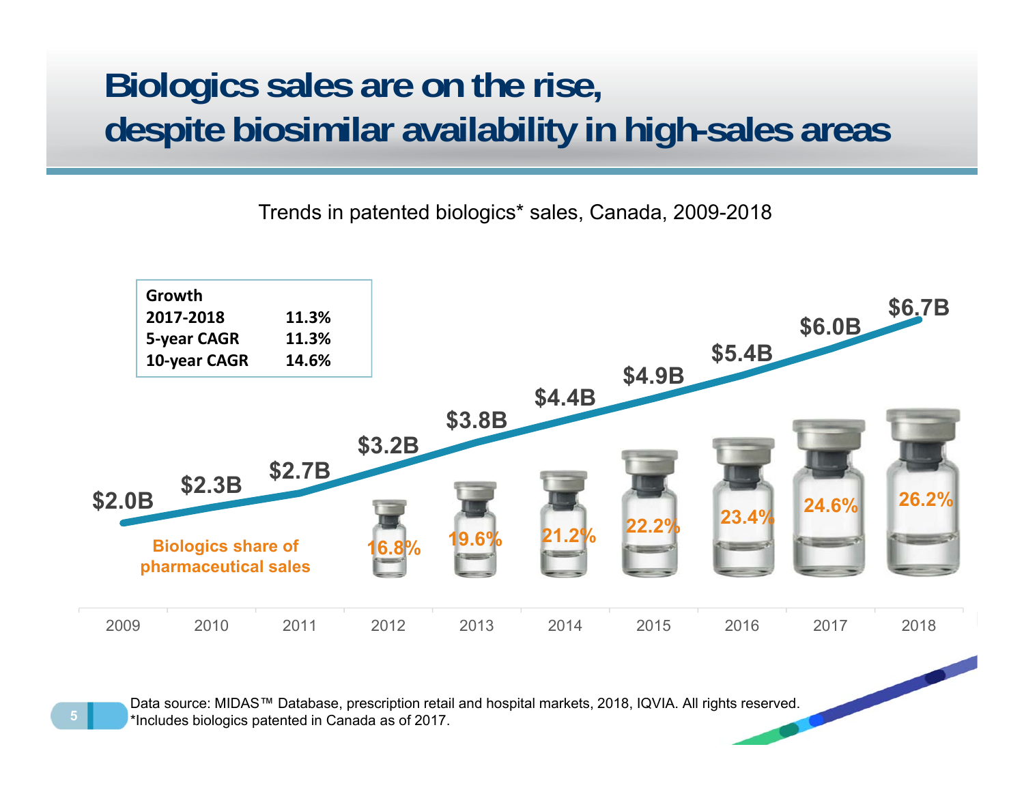#### **Biologics sales are on the rise, despite biosimilar availability in high-sales areas**

Trends in patented biologics\* sales, Canada, 2009-2018



Data source: MIDAS™ Database, prescription retail and hospital markets, 2018, IQVIA. All rights reserved. \*Includes biologics patented in Canada as of 2017.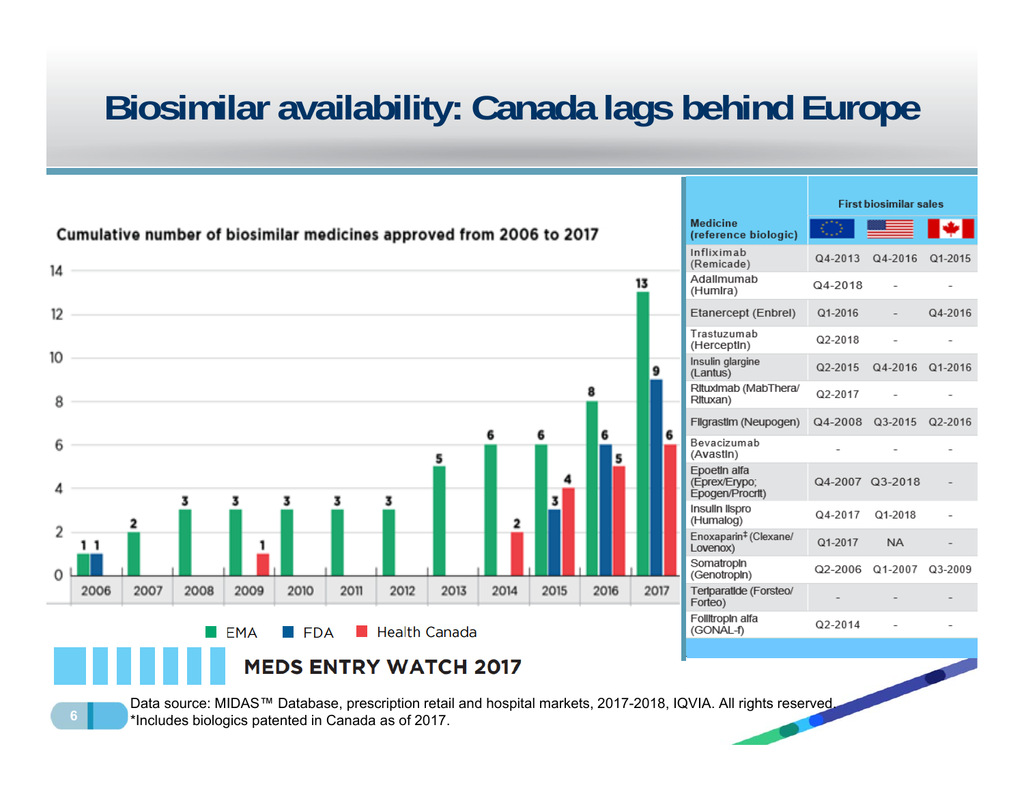## **Biosimilar availability: Canada lags behind Europe**



Data source: MIDAS™ Database, prescription retail and hospital markets, 2017-2018, IQVIA. All rights reserved. \*Includes biologics patented in Canada as of 2017.

**6**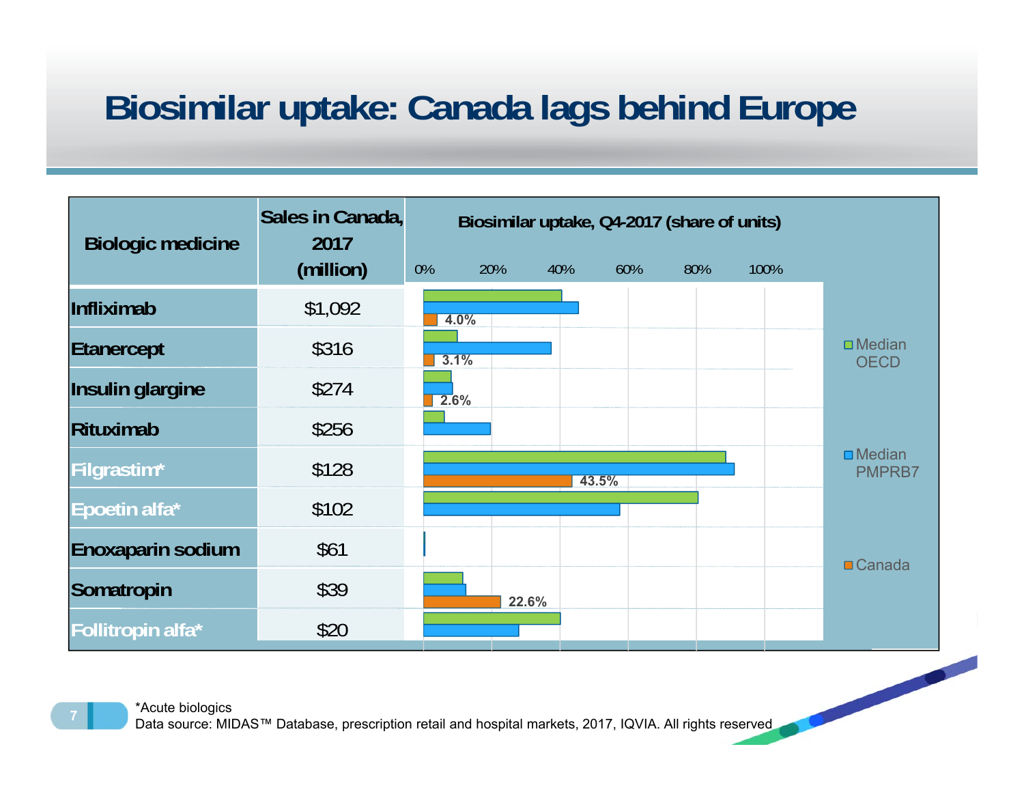## **Biosimilar uptake: Canada lags behind Europe**

| <b>Biologic medicine</b> | Sales in Canada,<br>2017 | Biosimilar uptake, Q4-2017 (share of units) |      |       |       |     |      |                                 |
|--------------------------|--------------------------|---------------------------------------------|------|-------|-------|-----|------|---------------------------------|
|                          | (million)                | 0%                                          | 20%  | 40%   | 60%   | 80% | 100% |                                 |
| <b>Infliximab</b>        | \$1,092                  |                                             | 4.0% |       |       |     |      |                                 |
| Etanercept               | \$316                    |                                             | 3.1% |       |       |     |      | $\square$ Median<br><b>OECD</b> |
| Insulin glargine         | \$274                    |                                             | 2.6% |       |       |     |      |                                 |
| Rituximab                | \$256                    |                                             |      |       |       |     |      |                                 |
| Filgrastim*              | \$128                    |                                             |      |       | 43.5% |     |      | $\square$ Median<br>PMPRB7      |
| Epoetin alfa*            | \$102                    |                                             |      |       |       |     |      |                                 |
| <b>Enoxaparin sodium</b> | \$61                     |                                             |      |       |       |     |      | $\blacksquare$ Canada           |
| Somatropin               | \$39                     |                                             |      | 22.6% |       |     |      |                                 |
| Follitropin alfa*        | \$20                     |                                             |      |       |       |     |      |                                 |



Data source: MIDAS™ Database, prescription retail and hospital markets, 2017, IQVIA. All rights reserved

**7**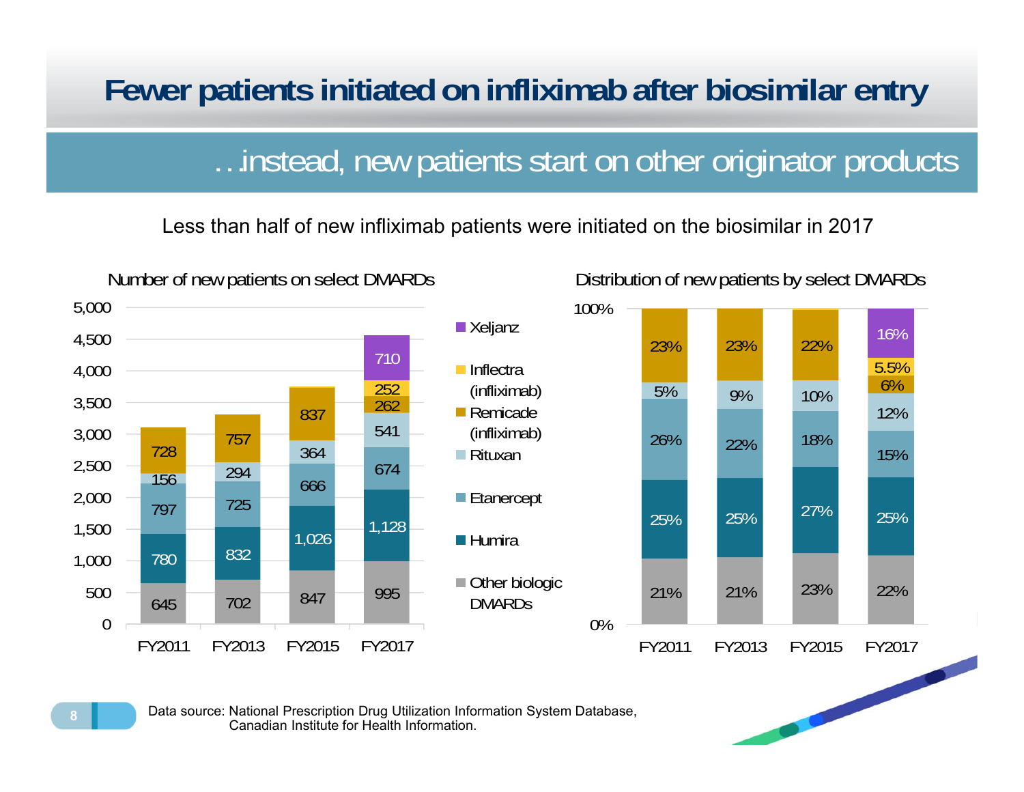#### **Fewer patients initiated on infliximab after biosimilar entry**

#### …instead, new patients start on other originator products

Less than half of new infliximab patients were initiated on the biosimilar in 2017



Data source: National Prescription Drug Utilization Information System Database, Canadian Institute for Health Information.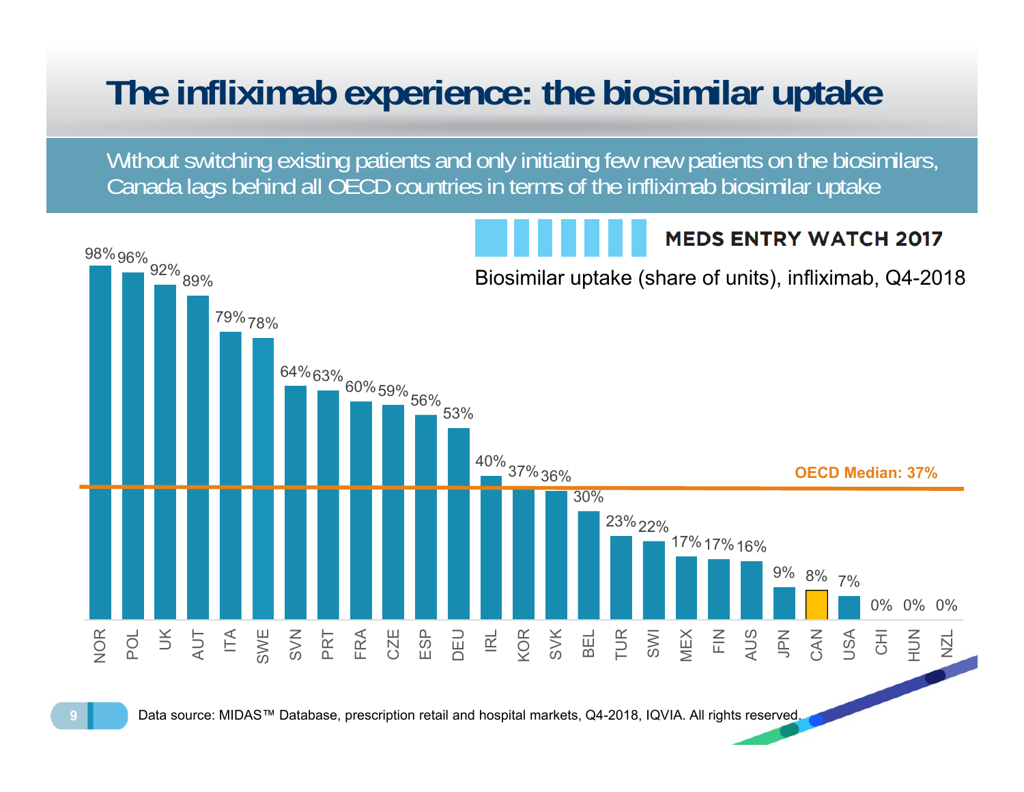# **The infliximab experience: the biosimilar uptake**

Without switching existing patients and only initiating few new patients on the biosimilars, Canada lags behind all OECD countries in terms of the infliximab biosimilar uptake

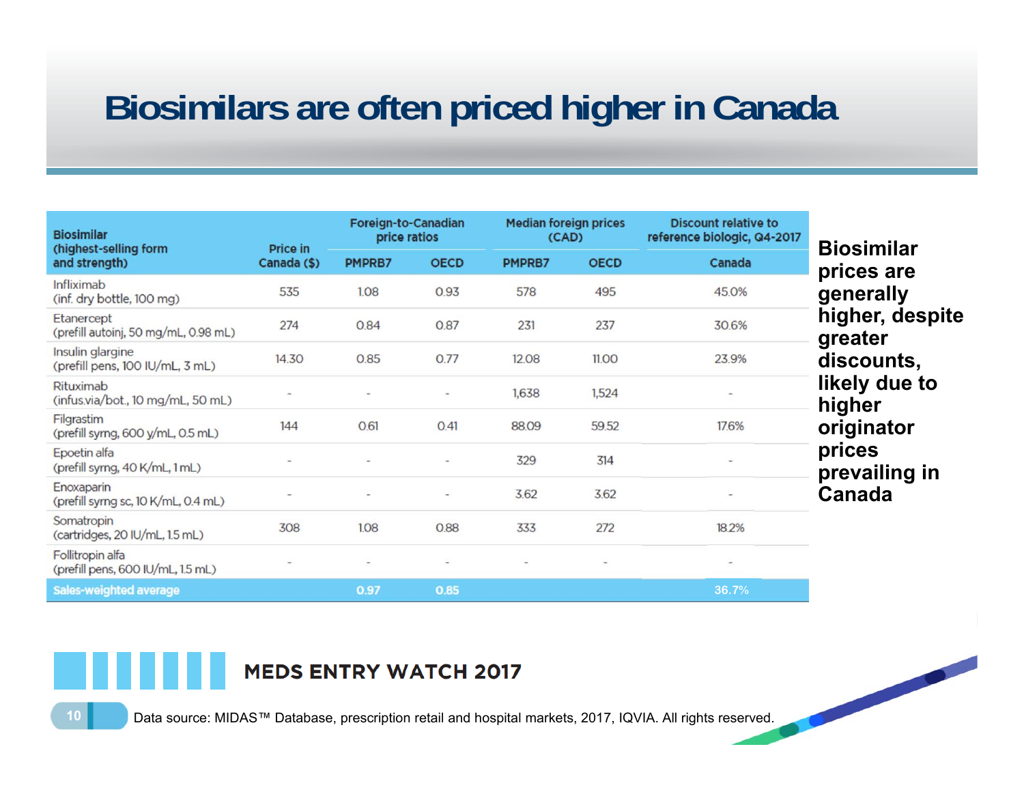## **Biosimilars are often priced higher in Canada**

| <b>Biosimilar</b><br>(highest-selling form<br>and strength) | Price in<br>Canada (\$)  | Foreign-to-Canadian<br>price ratios |                          | <b>Median foreign prices</b><br>(CAD) |                          | <b>Discount relative to</b><br>reference biologic, Q4-2017 | <b>Biosimilar</b>          |
|-------------------------------------------------------------|--------------------------|-------------------------------------|--------------------------|---------------------------------------|--------------------------|------------------------------------------------------------|----------------------------|
|                                                             |                          | PMPRB7                              | <b>OECD</b>              | PMPRB7                                | <b>OECD</b>              | Canada                                                     | prices are                 |
| Infliximab<br>(inf. dry bottle, 100 mg)                     | 535                      | 1.08                                | 0.93                     | 578                                   | 495                      | 45.0%                                                      | generally                  |
| Etanercept<br>(prefill autoinj, 50 mg/mL, 0.98 mL)          | 274                      | 0.84                                | 0.87                     | 231                                   | 237                      | 30.6%                                                      | higher, despite<br>greater |
| Insulin glargine<br>(prefill pens, 100 IU/mL, 3 mL)         | 14.30                    | 0.85                                | 0.77                     | 12.08                                 | 11.00                    | 23.9%                                                      | discounts,                 |
| Rituximab<br>(infus.via/bot., 10 mg/mL, 50 mL)              |                          |                                     | $\overline{\phantom{a}}$ | 1,638                                 | 1,524                    | $\overline{\phantom{a}}$                                   | likely due to<br>higher    |
| Filgrastim<br>(prefill syrng, 600 y/mL, 0.5 mL)             | 144                      | 0.61                                | 0.41                     | 88.09                                 | 59.52                    | 17.6%                                                      | originator                 |
| Epoetin alfa<br>(prefill syrng, 40 K/mL, 1 mL)              |                          |                                     | $\equiv$                 | 329                                   | 314                      | $\overline{\phantom{0}}$                                   | prices<br>prevailing in    |
| Enoxaparin<br>(prefill syrng sc, 10 K/mL, 0.4 mL)           |                          |                                     | $\overline{\phantom{a}}$ | 3.62                                  | 3.62                     | $\overline{\phantom{a}}$                                   | Canada                     |
| Somatropin<br>(cartridges, 20 IU/mL, 1.5 mL)                | 308                      | 1.08                                | 0.88                     | 333                                   | 272                      | 18.2%                                                      |                            |
| Follitropin alfa<br>(prefill pens, 600 IU/mL, 1.5 mL)       | $\overline{\phantom{a}}$ | ÷                                   | ÷                        | $\overline{\phantom{a}}$              | $\overline{\phantom{a}}$ | $\overline{a}$                                             |                            |
| <b>Sales-weighted average</b>                               |                          | 0.97                                | 0.85                     |                                       |                          | 36.7%                                                      |                            |

#### **MEDS ENTRY WATCH 2017**

Data source: MIDAS™ Database, prescription retail and hospital markets, 2017, IQVIA. All rights reserved.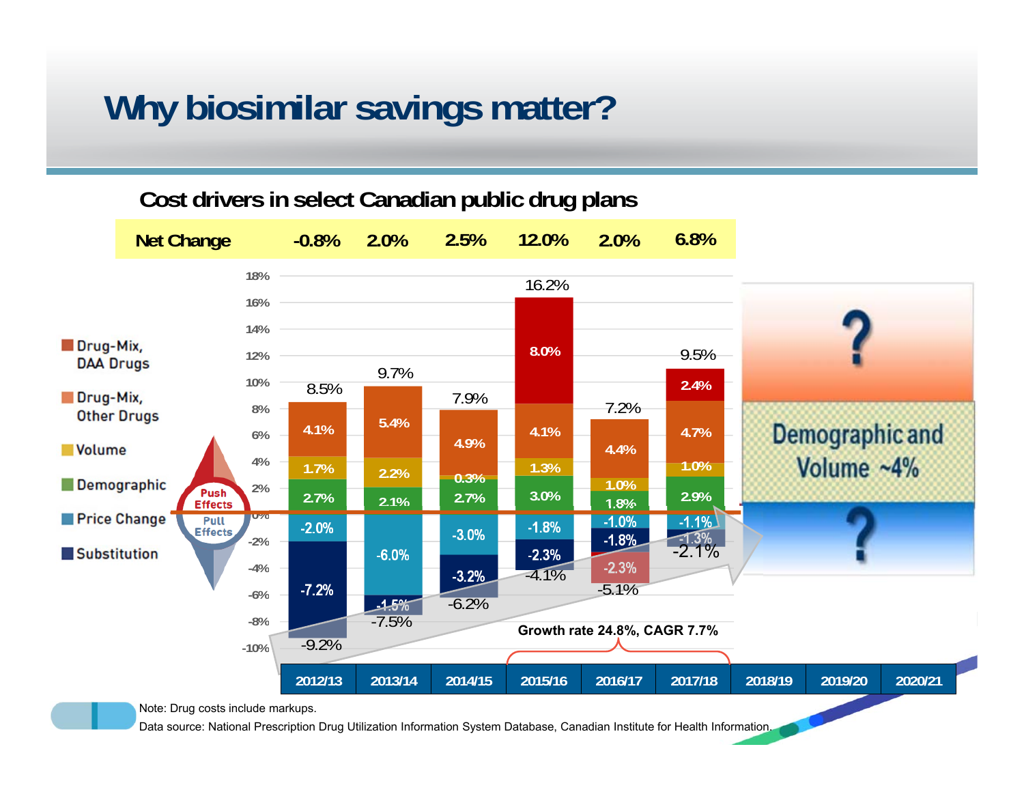## **Why biosimilar savings matter?**

#### **Cost drivers in select Canadian public drug plans**

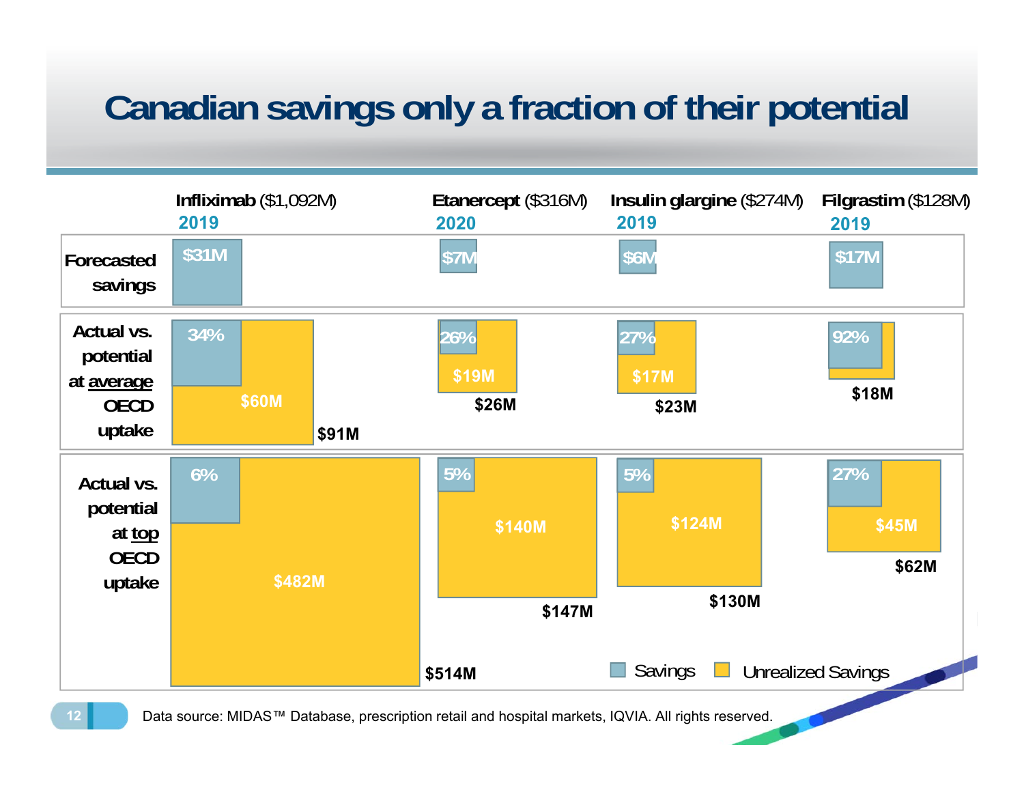# **Canadian savings only a fraction of their potential**

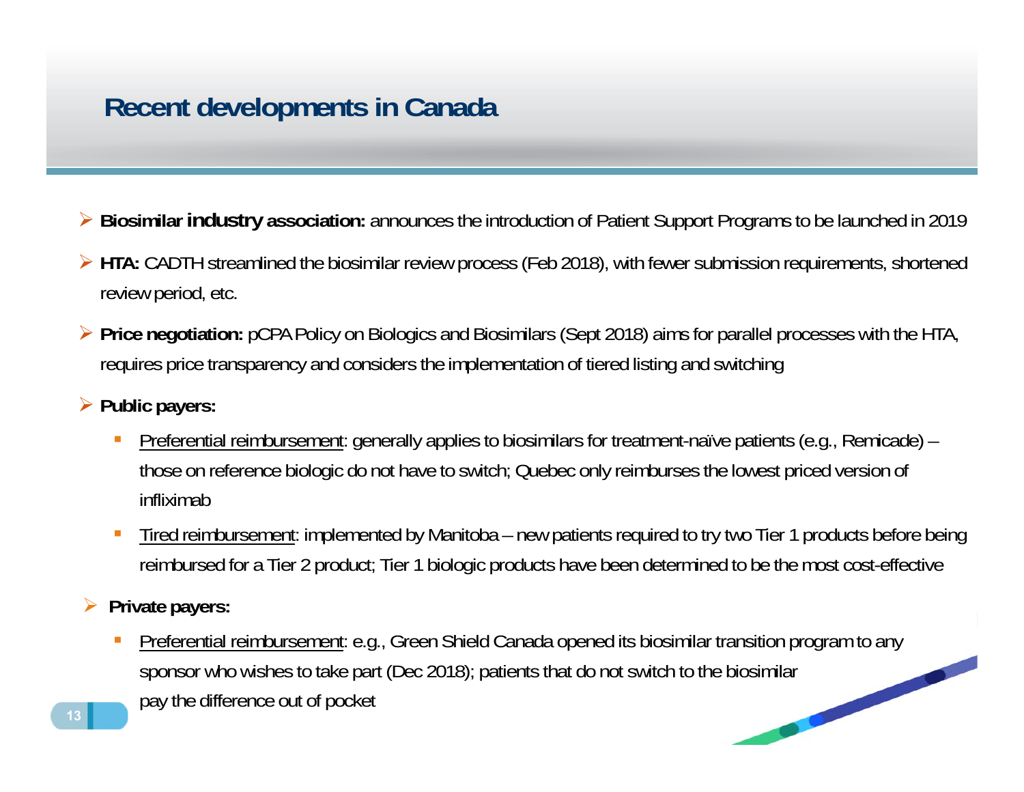#### **Recent developments in Canada**

- **Biosimilar industry association:** announces the introduction of Patient Support Programs to be launched in 2019
- **HTA:** CADTH streamlined the biosimilar review process (Feb 2018), with fewer submission requirements, shortened review period, etc.
- **Price negotiation:** pCPA Policy on Biologics and Biosimilars (Sept 2018) aims for parallel processes with the HTA, requires price transparency and considers the implementation of tiered listing and switching
- **Public payers:**
	- $\mathcal{C}$  Preferential reimbursement: generally applies to biosimilars for treatment-naïve patients (e.g., Remicade) – those on reference biologic do not have to switch; Quebec only reimburses the lowest priced version of infliximab
	- ⊔ Tired reimbursement: implemented by Manitoba – new patients required to try two Tier 1 products before being reimbursed for a Tier 2 product; Tier 1 biologic products have been determined to be the most cost-effective
- $\blacktriangleright$  **Private payers:**
	- × Preferential reimbursement: e.g., Green Shield Canada opened its biosimilar transition program to any sponsor who wishes to take part (Dec 2018); patients that do not switch to the biosimilar pay the difference out of pocket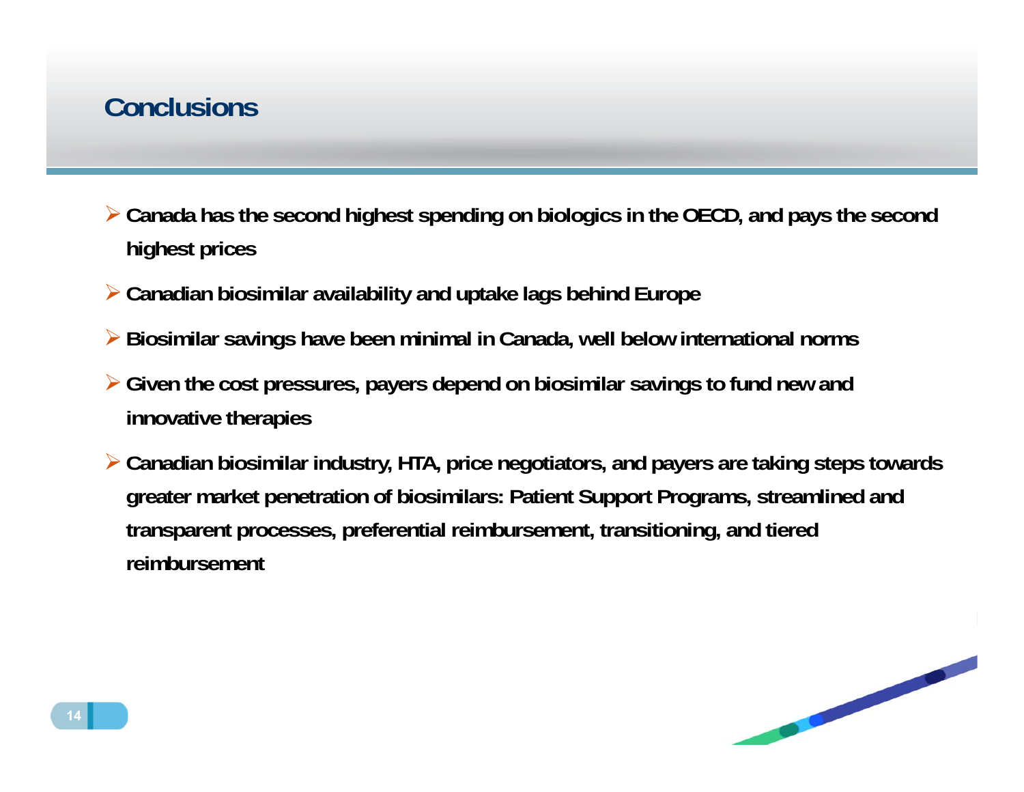#### **Conclusions**

- **Canada has the second highest spending on biologics in the OECD, and pays the second highest prices**
- **Canadian biosimilar availability and uptake lags behind Europe**
- **Biosimilar savings have been minimal in Canada, well below international norms**
- **Given the cost pressures, payers depend on biosimilar savings to fund new and innovative therapies**
- **Canadian biosimilar industry, HTA, price negotiators, and payers are taking steps towards greater market penetration of biosimilars: Patient Support Programs, streamlined and transparent processes, preferential reimbursement, transitioning, and tiered reimbursement**